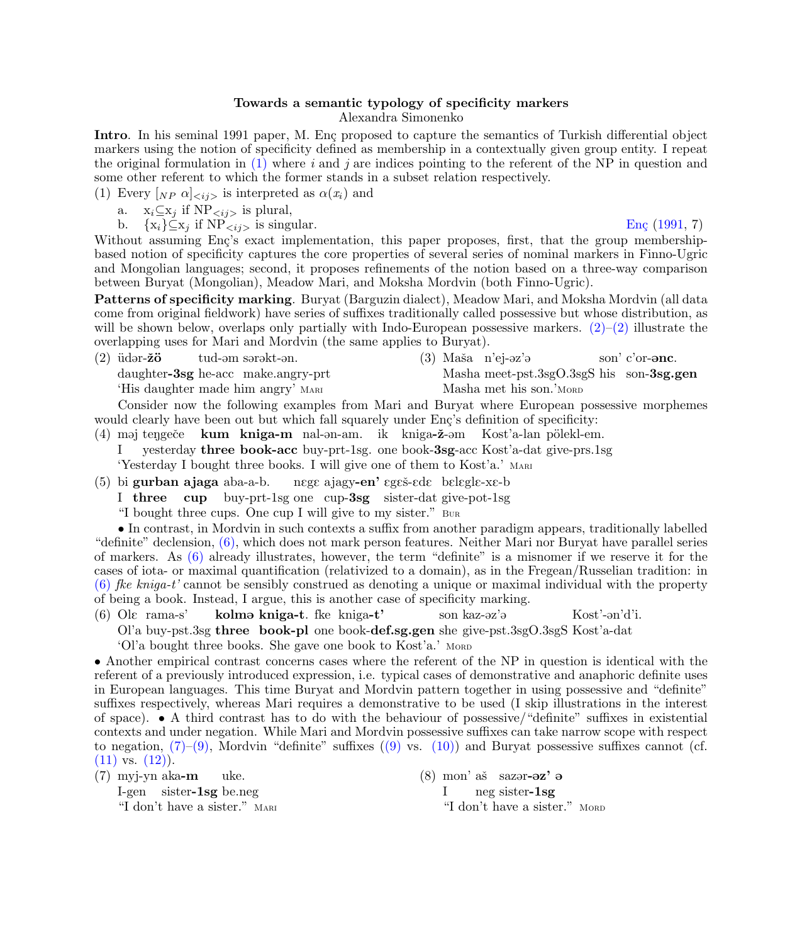## Towards a semantic typology of specificity markers Alexandra Simonenko

<span id="page-0-4"></span>Intro. In his seminal 1991 paper, M. Eng proposed to capture the semantics of Turkish differential object markers using the notion of specificity defined as membership in a contextually given group entity. I repeat the original formulation in  $(1)$  where i and j are indices pointing to the referent of the NP in question and some other referent to which the former stands in a subset relation respectively.

<span id="page-0-0"></span>(1) Every  $[N_P \alpha]_{\langle ij \rangle}$  is interpreted as  $\alpha(x_i)$  and

- a.  $x_i \subseteq x_j$  if  $NP_{\langle ij \rangle}$  is plural,
- b.  $\{x_i\} \subseteq x_j$  if  $NP_{\le i,j>}$  is singular. Eng (1991, 7)

Without assuming Enç's exact implementation, this paper proposes, first, that the group membershipbased notion of specificity captures the core properties of several series of nominal markers in Finno-Ugric and Mongolian languages; second, it proposes refinements of the notion based on a three-way comparison between Buryat (Mongolian), Meadow Mari, and Moksha Mordvin (both Finno-Ugric).

Patterns of specificity marking. Buryat (Barguzin dialect), Meadow Mari, and Moksha Mordvin (all data come from original fieldwork) have series of suffixes traditionally called possessive but whose distribution, as will be shown below, overlaps only partially with Indo-European possessive markers.  $(2)-(2)$  illustrate the overlapping uses for Mari and Mordvin (the same applies to Buryat).

<span id="page-0-1"></span> $(2)$  üdər-**žö** tud-əm sərəkt-ən.

daughter-3sg he-acc make.angry-prt

'His daughter made him angry' Mari

(3) Maša n'ej-əz'ə Masha meet-pst.3sgO.3sgS his son-3sg.gen son' c'or-**ənc**. Masha met his son.'Mord

Consider now the following examples from Mari and Buryat where European possessive morphemes would clearly have been out but which fall squarely under Enç's definition of specificity:

- (4) maj tengeče kum kniga-m nal-an-am. ik kniga-ž-am Kost'a-lan pölekl-em. I yesterday three book-acc buy-prt-1sg. one book-3sg-acc Kost'a-dat give-prs.1sg 'Yesterday I bought three books. I will give one of them to Kost'a.' Mari
- (5) bi gurban ajaga aba-a-b. nege ajagy**-en'** egeš-ede belegle-xe-b
	- I three cup buy-prt-1sg one cup-3sg sister-dat give-pot-1sg

"I bought three cups. One cup I will give to my sister." Bur

• In contrast, in Mordvin in such contexts a suffix from another paradigm appears, traditionally labelled "definite" declension, [\(6\),](#page-0-2) which does not mark person features. Neither Mari nor Buryat have parallel series of markers. As [\(6\)](#page-0-2) already illustrates, however, the term "definite" is a misnomer if we reserve it for the cases of iota- or maximal quantification (relativized to a domain), as in the Fregean/Russelian tradition: in  $(6)$  fke kniga-t' cannot be sensibly construed as denoting a unique or maximal individual with the property of being a book. Instead, I argue, this is another case of specificity marking.

<span id="page-0-2"></span> $(6)$  Ole rama-s' kolmə kniga-t. fke kniga-t' son kaz-@z'@ Kost'-@n'd'i.

Ol'a buy-pst.3sg three book-pl one book-def.sg.gen she give-pst.3sgO.3sgS Kost'a-dat

'Ol'a bought three books. She gave one book to Kost'a.' MORD

• Another empirical contrast concerns cases where the referent of the NP in question is identical with the referent of a previously introduced expression, i.e. typical cases of demonstrative and anaphoric definite uses in European languages. This time Buryat and Mordvin pattern together in using possessive and "definite" suffixes respectively, whereas Mari requires a demonstrative to be used (I skip illustrations in the interest of space). • A third contrast has to do with the behaviour of possessive/"definite" suffixes in existential contexts and under negation. While Mari and Mordvin possessive suffixes can take narrow scope with respect to negation,  $(7)-(9)$ , Mordvin "definite" suffixes  $((9)$  vs.  $(10)$ ) and Buryat possessive suffixes cannot (cf.  $(11)$  vs.  $(12)$ ).

<span id="page-0-3"></span>(7) myj-yn aka-m uke.

> I-gen sister-1sg be.neg "I don't have a sister." MARI

 $(8)$  mon' aš sazər- $\partial z$ '  $\partial z$ I neg sister-1sg "I don't have a sister." MORD